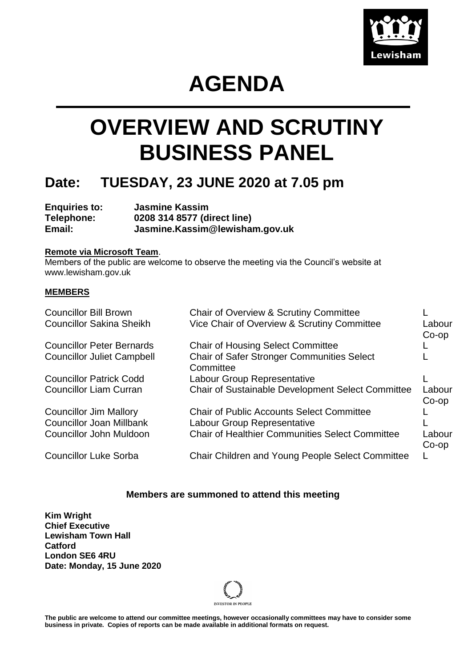

# **AGENDA**

# **OVERVIEW AND SCRUTINY BUSINESS PANEL**

### **Date: TUESDAY, 23 JUNE 2020 at 7.05 pm**

**Enquiries to: Jasmine Kassim Telephone: 0208 314 8577 (direct line) Email: Jasmine.Kassim@lewisham.gov.uk**

#### **Remote via Microsoft Team**.

Members of the public are welcome to observe the meeting via the Council's website at www.lewisham.gov.uk

#### **MEMBERS**

| <b>Councillor Bill Brown</b><br><b>Councillor Sakina Sheikh</b> | Chair of Overview & Scrutiny Committee<br>Vice Chair of Overview & Scrutiny Committee | Labour<br>$Co$ -op |
|-----------------------------------------------------------------|---------------------------------------------------------------------------------------|--------------------|
| <b>Councillor Peter Bernards</b>                                | <b>Chair of Housing Select Committee</b>                                              |                    |
| <b>Councillor Juliet Campbell</b>                               | <b>Chair of Safer Stronger Communities Select</b><br>Committee                        |                    |
| <b>Councillor Patrick Codd</b>                                  | Labour Group Representative                                                           |                    |
| <b>Councillor Liam Curran</b>                                   | <b>Chair of Sustainable Development Select Committee</b>                              | Labour<br>$Co$ -op |
| <b>Councillor Jim Mallory</b>                                   | <b>Chair of Public Accounts Select Committee</b>                                      |                    |
| <b>Councillor Joan Millbank</b>                                 | <b>Labour Group Representative</b>                                                    |                    |
| Councillor John Muldoon                                         | <b>Chair of Healthier Communities Select Committee</b>                                | Labour<br>$Co$ -op |
| <b>Councillor Luke Sorba</b>                                    | <b>Chair Children and Young People Select Committee</b>                               |                    |

#### **Members are summoned to attend this meeting**

**Kim Wright Chief Executive Lewisham Town Hall Catford London SE6 4RU Date: Monday, 15 June 2020**



**The public are welcome to attend our committee meetings, however occasionally committees may have to consider some business in private. Copies of reports can be made available in additional formats on request.**